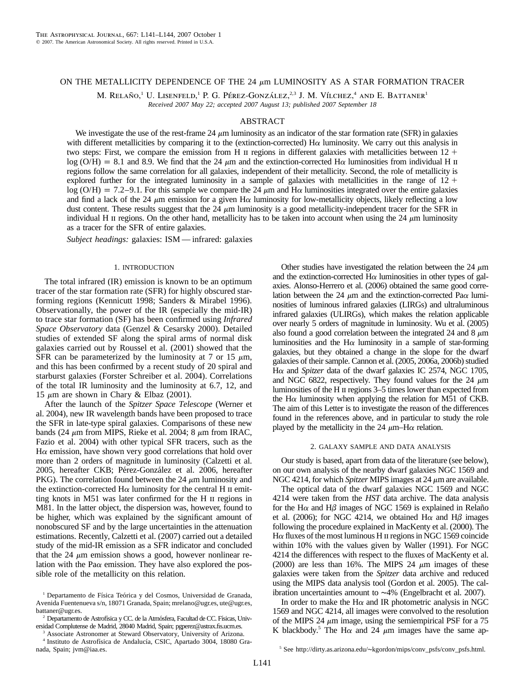# ON THE METALLICITY DEPENDENCE OF THE 24  $\mu$ m LUMINOSITY AS A STAR FORMATION TRACER

M. RELAÑO,<sup>1</sup> U. LISENFELD,<sup>1</sup> P. G. PÉREZ-GONZÁLEZ,<sup>2,3</sup> J. M. VÍLCHEZ,<sup>4</sup> AND E. BATTANER<sup>1</sup> *Received 2007 May 22; accepted 2007 August 13; published 2007 September 18*

## ABSTRACT

We investigate the use of the rest-frame 24  $\mu$ m luminosity as an indicator of the star formation rate (SFR) in galaxies with different metallicities by comparing it to the (extinction-corrected)  $H\alpha$  luminosity. We carry out this analysis in two steps: First, we compare the emission from H  $\scriptstyle\rm II$  regions in different galaxies with metallicities between 12 +  $\log (O/H) = 8.1$  and 8.9. We find that the 24  $\mu$ m and the extinction-corrected H $\alpha$  luminosities from individual H  $\mu$ regions follow the same correlation for all galaxies, independent of their metallicity. Second, the role of metallicity is explored further for the integrated luminosity in a sample of galaxies with metallicities in the range of  $12 +$  $\log (O/H) = 7.2$ –9.1. For this sample we compare the 24  $\mu$ m and H $\alpha$  luminosities integrated over the entire galaxies and find a lack of the 24  $\mu$ m emission for a given H $\alpha$  luminosity for low-metallicity objects, likely reflecting a low dust content. These results suggest that the  $24 \mu m$  luminosity is a good metallicity-independent tracer for the SFR in individual H II regions. On the other hand, metallicity has to be taken into account when using the 24  $\mu$ m luminosity as a tracer for the SFR of entire galaxies.

*Subject headings:* galaxies: ISM — infrared: galaxies

## 1. INTRODUCTION

The total infrared (IR) emission is known to be an optimum tracer of the star formation rate (SFR) for highly obscured starforming regions (Kennicutt 1998; Sanders & Mirabel 1996). Observationally, the power of the IR (especially the mid-IR) to trace star formation (SF) has been confirmed using *Infrared Space Observatory* data (Genzel & Cesarsky 2000). Detailed studies of extended SF along the spiral arms of normal disk galaxies carried out by Roussel et al. (2001) showed that the SFR can be parameterized by the luminosity at 7 or 15  $\mu$ m, and this has been confirmed by a recent study of 20 spiral and starburst galaxies (Forster Schreiber et al. 2004). Correlations of the total IR luminosity and the luminosity at 6.7, 12, and 15  $\mu$ m are shown in Chary & Elbaz (2001).

After the launch of the *Spitzer Space Telescope* (Werner et al. 2004), new IR wavelength bands have been proposed to trace the SFR in late-type spiral galaxies. Comparisons of these new bands (24  $\mu$ m from MIPS, Rieke et al. 2004; 8  $\mu$ m from IRAC, Fazio et al. 2004) with other typical SFR tracers, such as the  $H\alpha$  emission, have shown very good correlations that hold over more than 2 orders of magnitude in luminosity (Calzetti et al. 2005, hereafter CKB; Pérez-González et al. 2006, hereafter PKG). The correlation found between the 24  $\mu$ m luminosity and the extinction-corrected  $H\alpha$  luminosity for the central H  $\alpha$  is emitting knots in M51 was later confirmed for the H  $\scriptstyle\rm II$  regions in M81. In the latter object, the dispersion was, however, found to be higher, which was explained by the significant amount of nonobscured SF and by the large uncertainties in the attenuation estimations. Recently, Calzetti et al. (2007) carried out a detailed study of the mid-IR emission as a SFR indicator and concluded that the 24  $\mu$ m emission shows a good, however nonlinear relation with the Pa $\alpha$  emission. They have also explored the possible role of the metallicity on this relation.

nada, Spain; jvm@iaa.es.

Other studies have investigated the relation between the 24  $\mu$ m and the extinction-corrected  $H\alpha$  luminosities in other types of galaxies. Alonso-Herrero et al. (2006) obtained the same good correlation between the 24  $\mu$ m and the extinction-corrected Pa $\alpha$  luminosities of luminous infrared galaxies (LIRGs) and ultraluminous infrared galaxies (ULIRGs), which makes the relation applicable over nearly 5 orders of magnitude in luminosity. Wu et al. (2005) also found a good correlation between the integrated 24 and 8  $\mu$ m luminosities and the  $H\alpha$  luminosity in a sample of star-forming galaxies, but they obtained a change in the slope for the dwarf galaxies of their sample. Cannon et al. (2005, 2006a, 2006b) studied H $\alpha$  and *Spitzer* data of the dwarf galaxies IC 2574, NGC 1705, and NGC 6822, respectively. They found values for the 24  $\mu$ m luminosities of the H  $\scriptstyle\rm II$  regions 3–5 times lower than expected from the  $H\alpha$  luminosity when applying the relation for M51 of CKB. The aim of this Letter is to investigate the reason of the differences found in the references above, and in particular to study the role played by the metallicity in the 24  $\mu$ m–H $\alpha$  relation.

## 2. GALAXY SAMPLE AND DATA ANALYSIS

Our study is based, apart from data of the literature (see below), on our own analysis of the nearby dwarf galaxies NGC 1569 and NGC 4214, for which *Spitzer* MIPS images at 24  $\mu$ m are available.

The optical data of the dwarf galaxies NGC 1569 and NGC 4214 were taken from the *HST* data archive. The data analysis for the H $\alpha$  and H $\beta$  images of NGC 1569 is explained in Relanto et al. (2006); for NGC 4214, we obtained  $H\alpha$  and  $H\beta$  images following the procedure explained in MacKenty et al. (2000). The  $H\alpha$  fluxes of the most luminous H  $\alpha$  regions in NGC 1569 coincide within 10% with the values given by Waller (1991). For NGC 4214 the differences with respect to the fluxes of MacKenty et al. (2000) are less than 16%. The MIPS 24  $\mu$ m images of these galaxies were taken from the *Spitzer* data archive and reduced using the MIPS data analysis tool (Gordon et al. 2005). The calibration uncertainties amount to ∼4% (Engelbracht et al. 2007).

In order to make the H $\alpha$  and IR photometric analysis in NGC 1569 and NGC 4214, all images were convolved to the resolution of the MIPS 24  $\mu$ m image, using the semiempirical PSF for a 75 K blackbody.<sup>5</sup> The H $\alpha$  and 24  $\mu$ m images have the same ap-

<sup>&</sup>lt;sup>1</sup> Departamento de Física Teórica y del Cosmos, Universidad de Granada, Avenida Fuentenueva s/n, 18071 Granada, Spain; mrelano@ugr.es, ute@ugr.es, battaner@ugr.es.

<sup>&</sup>lt;sup>2</sup> Departamento de Astrofísica y CC. de la Atmósfera, Facultad de CC. Físicas, Universidad Complutense de Madrid, 28040 Madrid, Spain; pgperez@astrax.fis.ucm.es.

<sup>3</sup> Associate Astronomer at Steward Observatory, University of Arizona. <sup>4</sup> Instituto de Astrofísica de Andalucía, CSIC, Apartado 3004, 18080 Gra-

<sup>5</sup> See http://dirty.as.arizona.edu/∼kgordon/mips/conv\_psfs/conv\_psfs.html.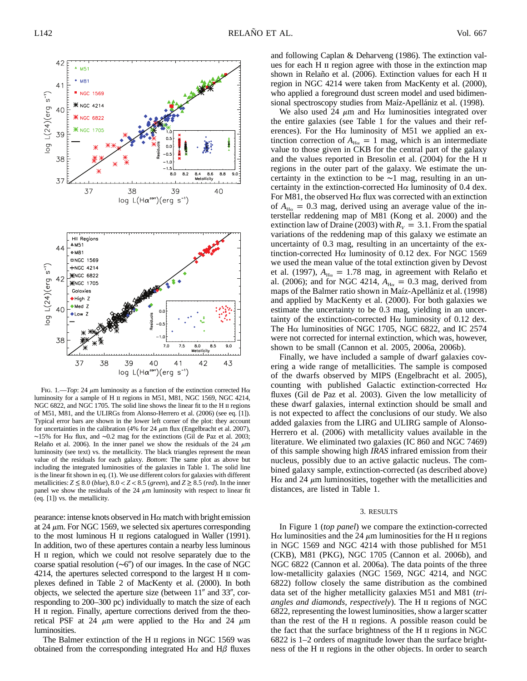

FIG. 1.—*Top*: 24  $\mu$ m luminosity as a function of the extinction corrected H $\alpha$ luminosity for a sample of H  $\scriptstyle\rm II$  regions in M51, M81, NGC 1569, NGC 4214, NGC 6822, and NGC 1705. The solid line shows the linear fit to the H II regions of M51, M81, and the ULIRGs from Alonso-Herrero et al. (2006) (see eq. [1]). Typical error bars are shown in the lower left corner of the plot: they account for uncertainties in the calibration (4% for 24  $\mu$ m flux (Engelbracht et al. 2007), ∼15% for Ha flux, and ∼0.2 mag for the extinctions (Gil de Paz et al. 2003; Relaño et al. 2006). In the inner panel we show the residuals of the 24  $\mu$ m luminosity (see text) vs. the metallicity. The black triangles represent the mean value of the residuals for each galaxy. *Bottom*: The same plot as above but including the integrated luminosities of the galaxies in Table 1. The solid line is the linear fit shown in eq. (1). We use different colors for galaxies with different metallicities:  $Z \le 8.0$  (blue),  $8.0 < Z < 8.5$  (green), and  $Z \ge 8.5$  (red). In the inner panel we show the residuals of the 24  $\mu$ m luminosity with respect to linear fit (eq. [1]) vs. the metallicity.

pearance: intense knots observed in  $H\alpha$  match with bright emission at 24  $\mu$ m. For NGC 1569, we selected six apertures corresponding to the most luminous H ii regions catalogued in Waller (1991). In addition, two of these apertures contain a nearby less luminous H ii region, which we could not resolve separately due to the coarse spatial resolution  $(\sim 6'')$  of our images. In the case of NGC 4214, the apertures selected correspond to the largest H ii complexes defined in Table 2 of MacKenty et al. (2000). In both objects, we selected the aperture size (between  $11''$  and  $33''$ , corresponding to 200–300 pc) individually to match the size of each H II region. Finally, aperture corrections derived from the theoretical PSF at 24  $\mu$ m were applied to the H $\alpha$  and 24  $\mu$ m luminosities.

The Balmer extinction of the H  $\scriptstyle\rm II$  regions in NGC 1569 was obtained from the corresponding integrated  $H\alpha$  and  $H\beta$  fluxes and following Caplan & Deharveng (1986). The extinction values for each H ii region agree with those in the extinction map shown in Relaño et al. (2006). Extinction values for each H II region in NGC 4214 were taken from MacKenty et al. (2000), who applied a foreground dust screen model and used bidimensional spectroscopy studies from Maíz-Apellániz et al. (1998).

We also used 24  $\mu$ m and H $\alpha$  luminosities integrated over the entire galaxies (see Table 1 for the values and their references). For the H $\alpha$  luminosity of M51 we applied an extinction correction of  $A_{H\alpha} = 1$  mag, which is an intermediate value to those given in CKB for the central part of the galaxy and the values reported in Bresolin et al. (2004) for the H ii regions in the outer part of the galaxy. We estimate the uncertainty in the extinction to be ∼1 mag, resulting in an uncertainty in the extinction-corrected  $H\alpha$  luminosity of 0.4 dex. For M81, the observed  $H\alpha$  flux was corrected with an extinction of  $A_{H<sub>o</sub>}$  = 0.3 mag, derived using an average value of the interstellar reddening map of M81 (Kong et al. 2000) and the extinction law of Draine (2003) with  $R_V = 3.1$ . From the spatial variations of the reddening map of this galaxy we estimate an uncertainty of 0.3 mag, resulting in an uncertainty of the extinction-corrected H $\alpha$  luminosity of 0.12 dex. For NGC 1569 we used the mean value of the total extinction given by Devost et al. (1997),  $A_{H\alpha} = 1.78$  mag, in agreement with Relanto et al. (2006); and for NGC 4214,  $A_{H\alpha} = 0.3$  mag, derived from maps of the Balmer ratio shown in Maíz-Apellániz et al. (1998) and applied by MacKenty et al. (2000). For both galaxies we estimate the uncertainty to be 0.3 mag, yielding in an uncertainty of the extinction-corrected  $H\alpha$  luminosity of 0.12 dex. The H $\alpha$  luminosities of NGC 1705, NGC 6822, and IC 2574 were not corrected for internal extinction, which was, however, shown to be small (Cannon et al. 2005, 2006a, 2006b).

Finally, we have included a sample of dwarf galaxies covering a wide range of metallicities. The sample is composed of the dwarfs observed by MIPS (Engelbracht et al. 2005), counting with published Galactic extinction-corrected  $H\alpha$ fluxes (Gil de Paz et al. 2003). Given the low metallicity of these dwarf galaxies, internal extinction should be small and is not expected to affect the conclusions of our study. We also added galaxies from the LIRG and ULIRG sample of Alonso-Herrero et al. (2006) with metallicity values available in the literature. We eliminated two galaxies (IC 860 and NGC 7469) of this sample showing high *IRAS* infrared emission from their nucleus, possibly due to an active galactic nucleus. The combined galaxy sample, extinction-corrected (as described above) H $\alpha$  and 24  $\mu$ m luminosities, together with the metallicities and distances, are listed in Table 1.

## 3. RESULTS

In Figure 1 (*top panel*) we compare the extinction-corrected H $\alpha$  luminosities and the 24  $\mu$ m luminosities for the H  $\mu$  regions in NGC 1569 and NGC 4214 with those published for M51 (CKB), M81 (PKG), NGC 1705 (Cannon et al. 2006b), and NGC 6822 (Cannon et al. 2006a). The data points of the three low-metallicity galaxies (NGC 1569, NGC 4214, and NGC 6822) follow closely the same distribution as the combined data set of the higher metallicity galaxies M51 and M81 (*triangles and diamonds, respectively*). The H ii regions of NGC 6822, representing the lowest luminosities, show a larger scatter than the rest of the H ii regions. A possible reason could be the fact that the surface brightness of the H ii regions in NGC 6822 is 1–2 orders of magnitude lower than the surface brightness of the H ii regions in the other objects. In order to search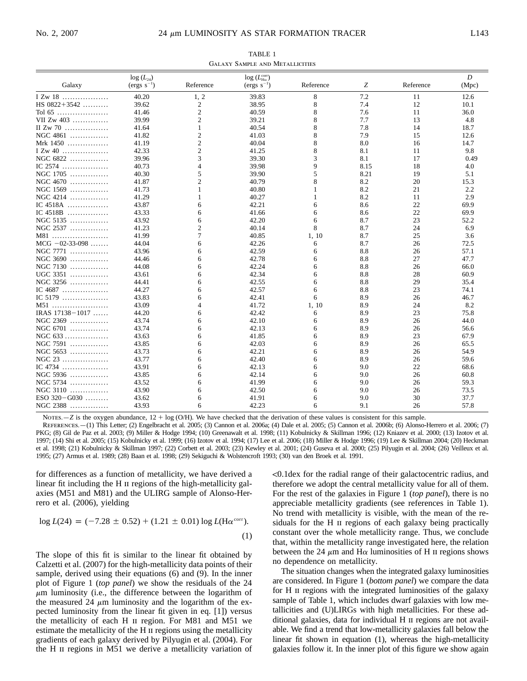TABLE 1 Galaxy Sample and Metallicities

|                     | $log(L_{24})$ |                | $log (L_{\rm H\alpha}^{\rm corr})$ |             |      |           | $\boldsymbol{D}$ |
|---------------------|---------------|----------------|------------------------------------|-------------|------|-----------|------------------|
| Galaxy              | $(ergs s-1)$  | Reference      | $(ergs s-1)$                       | Reference   | Ζ    | Reference | (Mpc)            |
| I Zw 18             | 40.20         | 1, 2           | 39.83                              | $\,$ 8 $\,$ | 7.2  | 11        | 12.6             |
| HS $0822+3542$      | 39.62         | 2              | 38.95                              | 8           | 7.4  | 12        | 10.1             |
| Tol 65              | 41.46         | $\overline{2}$ | 40.59                              | 8           | 7.6  | 11        | 36.0             |
| VII Zw 403          | 39.99         | $\overline{c}$ | 39.21                              | 8           | 7.7  | 13        | 4.8              |
| II Zw 70 $\dots$    | 41.64         | 1              | 40.54                              | 8           | 7.8  | 14        | 18.7             |
| NGC 4861            | 41.82         | $\overline{2}$ | 41.03                              | 8           | 7.9  | 15        | 12.6             |
| Mrk 1450            | 41.19         | $\overline{c}$ | 40.04                              | 8           | 8.0  | 16        | 14.7             |
| I Zw $40$           | 42.33         | $\overline{c}$ | 41.25                              | 8           | 8.1  | 11        | 9.8              |
| NGC 6822            | 39.96         | 3              | 39.30                              | 3           | 8.1  | 17        | 0.49             |
| IC $2574$           | 40.73         | $\overline{4}$ | 39.98                              | 9           | 8.15 | 18        | 4.0              |
| NGC 1705            | 40.30         | 5              | 39.90                              | 5           | 8.21 | 19        | 5.1              |
| NGC 4670            | 41.87         | $\overline{c}$ | 40.79                              | 8           | 8.2  | 20        | 15.3             |
| NGC 1569            | 41.73         |                | 40.80                              |             | 8.2  | 21        | 2.2              |
| NGC 4214            | 41.29         | 1              | 40.27                              | 1           | 8.2  | 11        | 2.9              |
| IC 4518A            | 43.87         | 6              | 42.21                              | 6           | 8.6  | 22        | 69.9             |
| IC $4518B$          | 43.33         | 6              | 41.66                              | 6           | 8.6  | 22        | 69.9             |
| NGC 5135            | 43.92         | 6              | 42.20                              | 6           | 8.7  | 23        | 52.2             |
| NGC 2537            | 41.23         | $\overline{c}$ | 40.14                              | 8           | 8.7  | 24        | 6.9              |
| M81                 | 41.99         | 7              | 40.85                              | 1, 10       | 8.7  | 25        | 3.6              |
| $MCG -02-33-098$    | 44.04         | 6              | 42.26                              | 6           | 8.7  | 26        | 72.5             |
| NGC 7771            | 43.96         | 6              | 42.59                              | 6           | 8.8  | 26        | 57.1             |
| NGC 3690            | 44.46         | 6              | 42.78                              | 6           | 8.8  | 27        | 47.7             |
| NGC 7130            | 44.08         | 6              | 42.24                              | 6           | 8.8  | 26        | 66.0             |
| UGC 3351            | 43.61         | 6              | 42.34                              | 6           | 8.8  | 28        | 60.9             |
| NGC 3256            | 44.41         | 6              | 42.55                              | 6           | 8.8  | 29        | 35.4             |
| IC 4687             | 44.27         | 6              | 42.57                              | 6           | 8.8  | 23        | 74.1             |
| IC 5179             | 43.83         | 6              | 42.41                              | 6           | 8.9  | 26        | 46.7             |
| M51                 | 43.09         | 4              | 41.72                              | 1, 10       | 8.9  | 24        | 8.2              |
| IRAS $17138 - 1017$ | 44.20         | 6              | 42.42                              | 6           | 8.9  | 23        | 75.8             |
| NGC 2369            | 43.74         | 6              | 42.10                              | 6           | 8.9  | 26        | 44.0             |
| NGC 6701            | 43.74         | 6              | 42.13                              | 6           | 8.9  | 26        | 56.6             |
| NGC 633             | 43.63         | 6              | 41.85                              | 6           | 8.9  | 23        | 67.9             |
| NGC 7591            | 43.85         | 6              | 42.03                              | 6           | 8.9  | 26        | 65.5             |
| NGC 5653            | 43.73         | 6              | 42.21                              | 6           | 8.9  | 26        | 54.9             |
| NGC 23              | 43.77         | 6              | 42.40                              | 6           | 8.9  | 26        | 59.6             |
| IC 4734             | 43.91         | 6              | 42.13                              | 6           | 9.0  | 22        | 68.6             |
| NGC 5936            | 43.85         | 6              | 42.14                              | 6           | 9.0  | 26        | 60.8             |
| NGC 5734            | 43.52         | 6              | 41.99                              | 6           | 9.0  | 26        | 59.3             |
| NGC 3110            | 43.90         | 6              | 42.50                              | 6           | 9.0  | 26        | 73.5             |
| $ESO$ 320 – G030    | 43.62         | 6              | 41.91                              | 6           | 9.0  | 30        | 37.7             |
| NGC 2388            | 43.93         | 6              | 42.23                              | 6           | 9.1  | 26        | 57.8             |

NOTES.—*Z* is the oxygen abundance,  $12 + \log(O/H)$ . We have checked that the derivation of these values is consistent for this sample.

References.—(1) This Letter; (2) Engelbracht et al. 2005; (3) Cannon et al. 2006a; (4) Dale et al. 2005; (5) Cannon et al. 2006b; (6) Alonso-Herrero et al. 2006; (7) PKG; (8) Gil de Paz et al. 2003; (9) Miller & Hodge 1994; (10) Greenawalt et al. 1998; (11) Kobulnicky & Skillman 1996; (12) Kniazev et al. 2000; (13) Izotov et al. 1997; (14) Shi et al. 2005; (15) Kobulnicky et al. 1999; (16) Izotov et al. 1994; (17) Lee et al. 2006; (18) Miller & Hodge 1996; (19) Lee & Skillman 2004; (20) Heckman et al. 1998; (21) Kobulnicky & Skillman 1997; (22) Corbett et al. 2003; (23) Kewley et al. 2001; (24) Guseva et al. 2000; (25) Pilyugin et al. 2004; (26) Veilleux et al. 1995; (27) Armus et al. 1989; (28) Baan et al. 1998; (29) Sekiguchi & Wolstencroft 1993; (30) van den Broek et al. 1991.

for differences as a function of metallicity, we have derived a linear fit including the H  $\scriptstyle\rm II$  regions of the high-metallicity galaxies (M51 and M81) and the ULIRG sample of Alonso-Herrero et al. (2006), yielding

$$
\log L(24) = (-7.28 \pm 0.52) + (1.21 \pm 0.01) \log L(\text{H}\alpha^{\text{corr}}). \tag{1}
$$

The slope of this fit is similar to the linear fit obtained by Calzetti et al. (2007) for the high-metallicity data points of their sample, derived using their equations (6) and (9). In the inner plot of Figure 1 (*top panel*) we show the residuals of the 24  $\mu$ m luminosity (i.e., the difference between the logarithm of the measured 24  $\mu$ m luminosity and the logarithm of the expected luminosity from the linear fit given in eq. [1]) versus the metallicity of each H ii region. For M81 and M51 we estimate the metallicity of the H ii regions using the metallicity gradients of each galaxy derived by Pilyugin et al. (2004). For the H ii regions in M51 we derive a metallicity variation of !0.1dex for the radial range of their galactocentric radius, and therefore we adopt the central metallicity value for all of them. For the rest of the galaxies in Figure 1 (*top panel*), there is no appreciable metallicity gradients (see references in Table 1). No trend with metallicity is visible, with the mean of the residuals for the H  $\scriptstyle\rm II$  regions of each galaxy being practically constant over the whole metallicity range. Thus, we conclude that, within the metallicity range investigated here, the relation between the 24  $\mu$ m and H $\alpha$  luminosities of H II regions shows no dependence on metallicity.

The situation changes when the integrated galaxy luminosities are considered. In Figure 1 (*bottom panel*) we compare the data for H II regions with the integrated luminosities of the galaxy sample of Table 1, which includes dwarf galaxies with low metallicities and (U)LIRGs with high metallicities. For these additional galaxies, data for individual H ii regions are not available. We find a trend that low-metallicity galaxies fall below the linear fit shown in equation (1), whereas the high-metallicity galaxies follow it. In the inner plot of this figure we show again